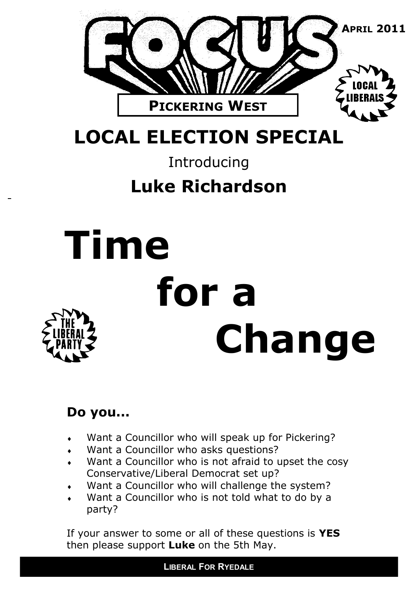

## **LOCAL ELECTION SPECIAL**

### Introducing

## **Luke Richardson**

# **Time for a Change**

### **Do you...**

- Want a Councillor who will speak up for Pickering?
- Want a Councillor who asks questions?
- Want a Councillor who is not afraid to upset the cosy Conservative/Liberal Democrat set up?
- Want a Councillor who will challenge the system?
- Want a Councillor who is not told what to do by a party?

If your answer to some or all of these questions is **YES**  then please support **Luke** on the 5th May.

### **LIBERAL FOR RYEDALE**